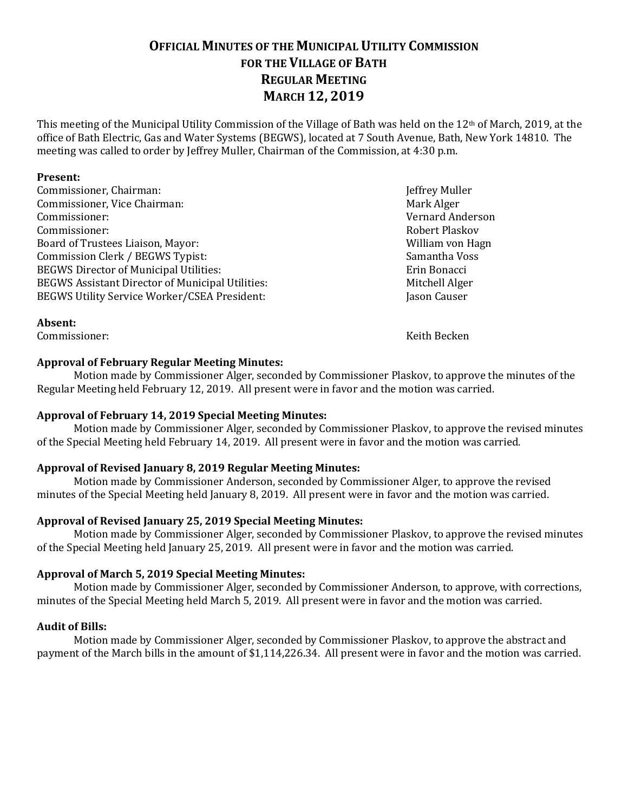# **OFFICIAL MINUTES OF THE MUNICIPAL UTILITY COMMISSION FOR THE VILLAGE OF BATH REGULAR MEETING MARCH 12, 2019**

This meeting of the Municipal Utility Commission of the Village of Bath was held on the 12th of March, 2019, at the office of Bath Electric, Gas and Water Systems (BEGWS), located at 7 South Avenue, Bath, New York 14810. The meeting was called to order by Jeffrey Muller, Chairman of the Commission, at 4:30 p.m.

#### **Present:**

**Absent:**

Commissioner, Chairman: Jeffrey Muller Commissioner, Vice Chairman: Mark Alger Mark Alger Commissioner: Vernard Anderson Commissioner: Robert Plaskov Board of Trustees Liaison, Mayor: New York 1988, New York 1988, New York 1988, New York 1988, New York 1988, N Commission Clerk / BEGWS Typist: Samantha Voss BEGWS Director of Municipal Utilities: Erin Bonacci Erin Bonacci BEGWS Assistant Director of Municipal Utilities: Mitchell Alger BEGWS Utility Service Worker/CSEA President: Jason Causer

Commissioner: Keith Becken

# **Approval of February Regular Meeting Minutes:**

Motion made by Commissioner Alger, seconded by Commissioner Plaskov, to approve the minutes of the Regular Meeting held February 12, 2019. All present were in favor and the motion was carried.

#### **Approval of February 14, 2019 Special Meeting Minutes:**

Motion made by Commissioner Alger, seconded by Commissioner Plaskov, to approve the revised minutes of the Special Meeting held February 14, 2019. All present were in favor and the motion was carried.

## **Approval of Revised January 8, 2019 Regular Meeting Minutes:**

Motion made by Commissioner Anderson, seconded by Commissioner Alger, to approve the revised minutes of the Special Meeting held January 8, 2019. All present were in favor and the motion was carried.

# **Approval of Revised January 25, 2019 Special Meeting Minutes:**

Motion made by Commissioner Alger, seconded by Commissioner Plaskov, to approve the revised minutes of the Special Meeting held January 25, 2019. All present were in favor and the motion was carried.

#### **Approval of March 5, 2019 Special Meeting Minutes:**

Motion made by Commissioner Alger, seconded by Commissioner Anderson, to approve, with corrections, minutes of the Special Meeting held March 5, 2019. All present were in favor and the motion was carried.

#### **Audit of Bills:**

Motion made by Commissioner Alger, seconded by Commissioner Plaskov, to approve the abstract and payment of the March bills in the amount of \$1,114,226.34. All present were in favor and the motion was carried.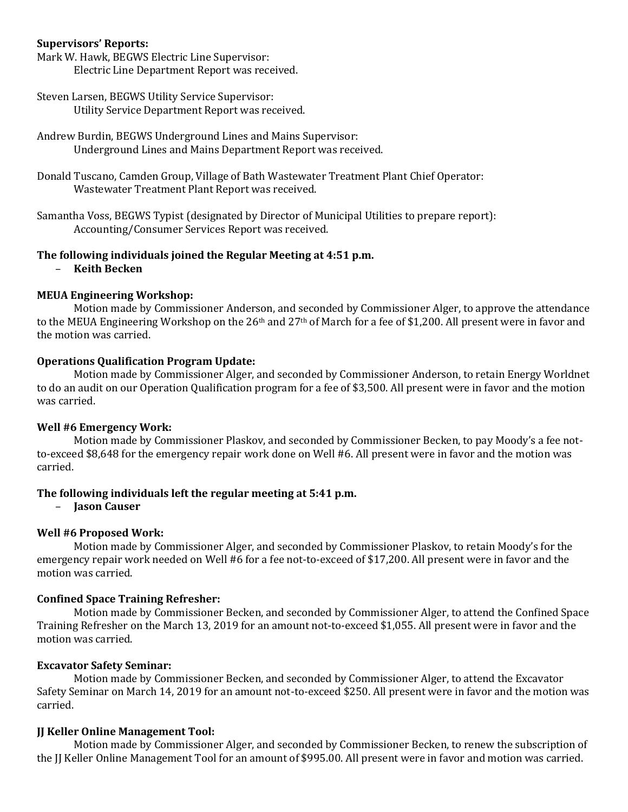#### **Supervisors' Reports:**

Mark W. Hawk, BEGWS Electric Line Supervisor: Electric Line Department Report was received.

- Steven Larsen, BEGWS Utility Service Supervisor: Utility Service Department Report was received.
- Andrew Burdin, BEGWS Underground Lines and Mains Supervisor: Underground Lines and Mains Department Report was received.
- Donald Tuscano, Camden Group, Village of Bath Wastewater Treatment Plant Chief Operator: Wastewater Treatment Plant Report was received.
- Samantha Voss, BEGWS Typist (designated by Director of Municipal Utilities to prepare report): Accounting/Consumer Services Report was received.

#### **The following individuals joined the Regular Meeting at 4:51 p.m.**

– **Keith Becken**

#### **MEUA Engineering Workshop:**

Motion made by Commissioner Anderson, and seconded by Commissioner Alger, to approve the attendance to the MEUA Engineering Workshop on the 26<sup>th</sup> and 27<sup>th</sup> of March for a fee of \$1,200. All present were in favor and the motion was carried.

#### **Operations Qualification Program Update:**

Motion made by Commissioner Alger, and seconded by Commissioner Anderson, to retain Energy Worldnet to do an audit on our Operation Qualification program for a fee of \$3,500. All present were in favor and the motion was carried.

#### **Well #6 Emergency Work:**

Motion made by Commissioner Plaskov, and seconded by Commissioner Becken, to pay Moody's a fee notto-exceed \$8,648 for the emergency repair work done on Well #6. All present were in favor and the motion was carried.

#### **The following individuals left the regular meeting at 5:41 p.m.**

– **Jason Causer**

#### **Well #6 Proposed Work:**

Motion made by Commissioner Alger, and seconded by Commissioner Plaskov, to retain Moody's for the emergency repair work needed on Well #6 for a fee not-to-exceed of \$17,200. All present were in favor and the motion was carried.

#### **Confined Space Training Refresher:**

Motion made by Commissioner Becken, and seconded by Commissioner Alger, to attend the Confined Space Training Refresher on the March 13, 2019 for an amount not-to-exceed \$1,055. All present were in favor and the motion was carried.

#### **Excavator Safety Seminar:**

Motion made by Commissioner Becken, and seconded by Commissioner Alger, to attend the Excavator Safety Seminar on March 14, 2019 for an amount not-to-exceed \$250. All present were in favor and the motion was carried.

#### **JJ Keller Online Management Tool:**

Motion made by Commissioner Alger, and seconded by Commissioner Becken, to renew the subscription of the JJ Keller Online Management Tool for an amount of \$995.00. All present were in favor and motion was carried.